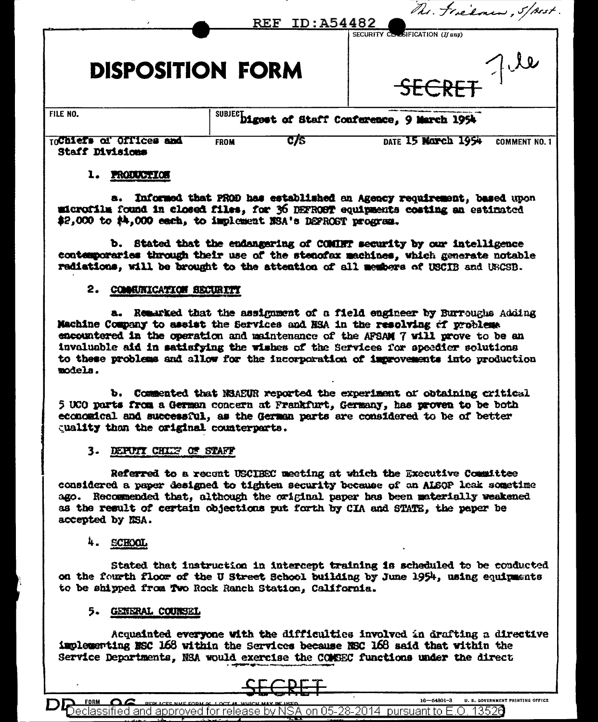|                                                   |                                                | REF ID: A54482 | The Federal , Spest.                              |
|---------------------------------------------------|------------------------------------------------|----------------|---------------------------------------------------|
| <b>DISPOSITION FORM</b>                           |                                                |                | SECURITY CLASIFICATION (If any)<br>7.10<br>SECRET |
| FILE NO.                                          | SUBJECDigest of Staff Conference, 9 March 1954 |                |                                                   |
| TOCOLETS OF OFFICES and<br><b>Staff Divisions</b> | <b>FROM</b>                                    | C/5            | DATE 15 MONCh 1954<br><b>COMMENT NO. 1</b>        |

### 1. PRODUCTION

**B.** Informed that PROD has established an Agency requirement, based upon microfilm found in closed files, for 36 DEFROST equipments costing an estimated \$2,000 to \$4,000 each, to implement NSA's DEFROST program.

b. Stated that the endangering of COMINT security by our intelligence contemporaries through their use of the stenofax machines, which generate notable radiations, will be brought to the attention of all members of USCIB and USCSB.

## 2. COMMUNICATION SECURITY

a. Remarked that the assignment of a field engineer by Burroughs Adding Machine Company to assist the Services and HSA in the resolving of problems encountered in the operation and maintenance of the AFSAM 7 will prove to be an invaluable aid in satisfying the wishes of the Services for speedler solutions to these problems and allow for the incorporation of improvements into production models.

b. Commented that NSAEUR reported the experiment of obtaining critical 5 UCO parts from a German concern at Frankfurt, Germany, has proven to be both economical and successful, as the German parts are considered to be of better cuality than the original counterparts.

#### 3. DEPUIT CHIEF OF STAFF

Referred to a recent USCIECC meeting at which the Executive Committee considered a paper designed to tighten security because of an ALSOP leak sometime ago. Recommended that, although the original paper has been materially weakened as the result of certain objections put forth by CIA and STATE. the paper be accepted by NSA.

#### 4. **SCHOOL**

Stated that instruction in intercept training is scheduled to be conducted on the fourth floor of the U Street School building by June 1954, using equipments to be shipped from Two Rock Ranch Station, California.

### 5. GENERAL COUNSEL

Acquainted everyone with the difficulties involved in drafting a directive implementing NSC 168 within the Services because NSC 168 said that within the Service Departments, NSA would exercise the COMSEC functions under the direct



 $16 - 54801 - 3$ **U. S. GOVERNMENT PRINTING OFFICE** FORM OG <code>Declassified</code> and approved for release by NSA on 05-28-2014  $\,$  pursuant to E.O. 1352 $6$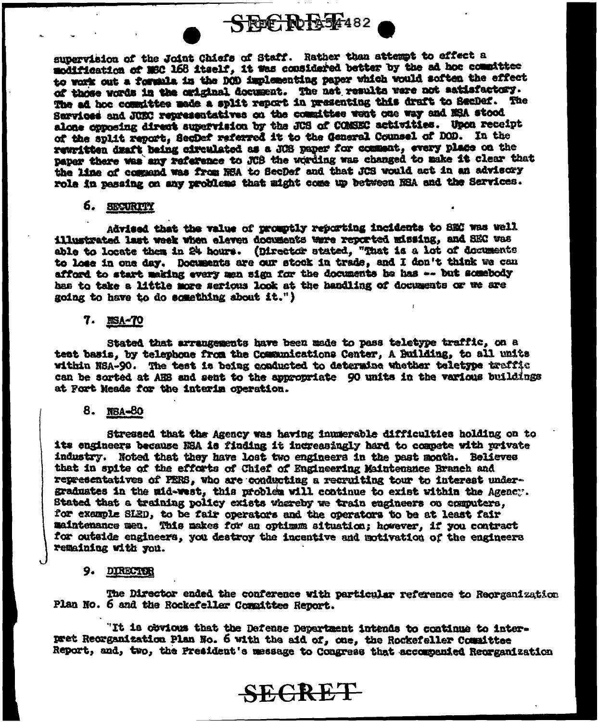SECRET482

supervision of the Joint Chiefs of Staff. Rather than attempt to effect a modification of MSC 168 itself, it was considered better by the ad hoc committee to work out a formula in the DOD implementing paper which would soften the effect of those words in the original document. The net results were not aatisfactory. The ad hoc committee made a split report in presenting this draft to SecDef. The Sarvices and JUSC representatives on the committee went one way and NSA stood alone opposing direct supervision by the JUS of COMSEC activities. Upon receipt of the split report. SecDef referred it to the General Counsel of DOD. In the rewritten draft being circulated as a JOS paper for comment, every place on the paper there was any reference to JCB the wording was changed to make it clear that the line of commend was from NSA to SecDef and that JCS would act in an advisory role in pessing on any problems that might come up between NSA and the Sarvices.

#### 6. SEGURITY

Advised that the value of promptly reporting incidents to SEC was well illustrated last week when eleven documents were reported missing, and SEC was able to locate them in 24 hours. (Director stated, "That is a lot of documents to lose in one day. Documents are our stock in trade, and I don't think we can afford to start making every men sign for the documents he has -- but somebody has to take a little more serious look at the handling of documents or we are going to have to do something about it.")

#### 7. NSA-70

Stated that arrangements have been made to pass teletype traffic, on a test basis, by telephone from the Communications Center, A Building, to all units within NSA-90. The test is being conducted to determine whether teletype traffic can be sorted at AHS and sent to the appropriate 90 units in the various buildings at Fort Meade for the interim operation.

### 8. NBA-80

Stressed that the Agency was having immerable difficulties holding on to its engineers because NSA is finding it increasingly hard to compete with private industry. Noted that they have loat two engineers in the past month. Believes that in spite of the efforts of Chief of Engineering Maintenance Branch and representatives of PERS, who are conducting a recruiting tour to interest undergraduates in the mid-west, this problem will continue to exist within the Agency. Stated that a training policy exists whereby we train engineers on computers, for example SLED, to be fair operators and the operators to be at least fair maintenance men. This makes for an optimum situation; however, if you contract for outside engineers, you destroy the incentive and motivation of the engineers remaining with you.

#### 9. DIRECTOR

The Director ended the conference with particular reference to Reorganization Plan No. 6 and the Rockefeller Compittee Report.

"It is obvious that the Defense Department intends to continue to interpret Reorganization Plan No. 6 with the aid of, one, the Rockefeller Counittee Report, and, two, the President's message to Congress that accompanied Recrganization

# **SECRET**